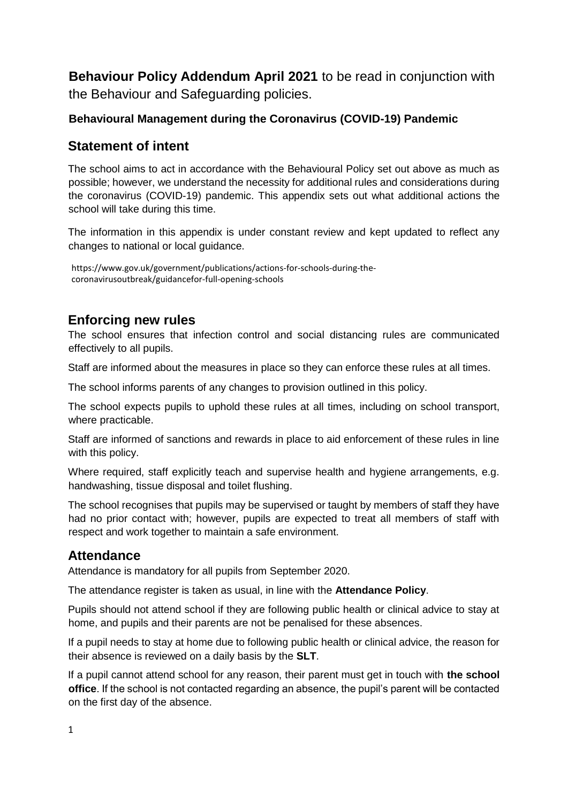**Behaviour Policy Addendum April 2021** to be read in conjunction with the Behaviour and Safeguarding policies.

## **Behavioural Management during the Coronavirus (COVID-19) Pandemic**

# **Statement of intent**

The school aims to act in accordance with the Behavioural Policy set out above as much as possible; however, we understand the necessity for additional rules and considerations during the coronavirus (COVID-19) pandemic. This appendix sets out what additional actions the school will take during this time.

The information in this appendix is under constant review and kept updated to reflect any changes to national or local guidance.

[https://www.gov.uk/government/publications/actions-for-schools-during-the](https://www.gov.uk/government/publications/actions-for-schools-during-the-coronavirus-outbreak/guidance-for-full-opening-schools)[coronavirusoutbreak/guidancefor-full-opening-schools](https://www.gov.uk/government/publications/actions-for-schools-during-the-coronavirus-outbreak/guidance-for-full-opening-schools) 

# **Enforcing new rules**

The school ensures that infection control and social distancing rules are communicated effectively to all pupils.

Staff are informed about the measures in place so they can enforce these rules at all times.

The school informs parents of any changes to provision outlined in this policy.

The school expects pupils to uphold these rules at all times, including on school transport, where practicable.

Staff are informed of sanctions and rewards in place to aid enforcement of these rules in line with this policy.

Where required, staff explicitly teach and supervise health and hygiene arrangements, e.g. handwashing, tissue disposal and toilet flushing.

The school recognises that pupils may be supervised or taught by members of staff they have had no prior contact with; however, pupils are expected to treat all members of staff with respect and work together to maintain a safe environment.

# **Attendance**

Attendance is mandatory for all pupils from September 2020.

The attendance register is taken as usual, in line with the **Attendance Policy**.

Pupils should not attend school if they are following public health or clinical advice to stay at home, and pupils and their parents are not be penalised for these absences.

If a pupil needs to stay at home due to following public health or clinical advice, the reason for their absence is reviewed on a daily basis by the **SLT**.

If a pupil cannot attend school for any reason, their parent must get in touch with **the school office**. If the school is not contacted regarding an absence, the pupil's parent will be contacted on the first day of the absence.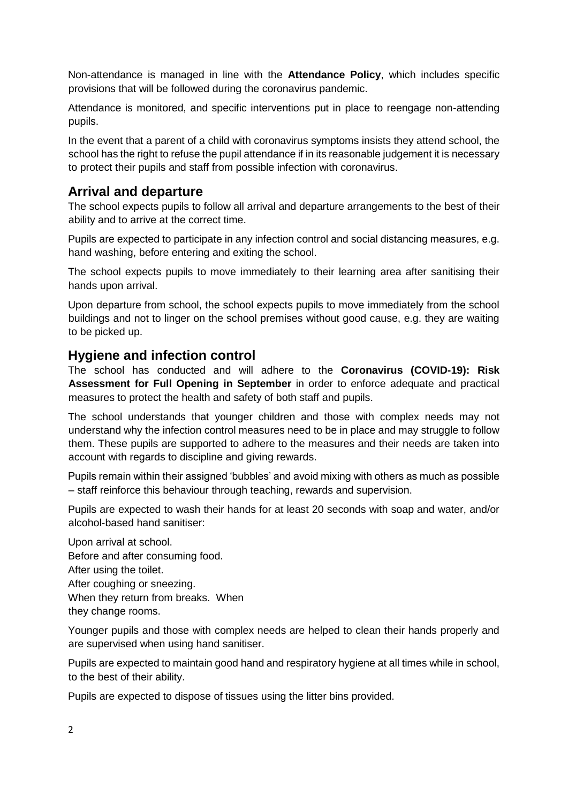Non-attendance is managed in line with the **Attendance Policy**, which includes specific provisions that will be followed during the coronavirus pandemic.

Attendance is monitored, and specific interventions put in place to reengage non-attending pupils.

In the event that a parent of a child with coronavirus symptoms insists they attend school, the school has the right to refuse the pupil attendance if in its reasonable judgement it is necessary to protect their pupils and staff from possible infection with coronavirus.

# **Arrival and departure**

The school expects pupils to follow all arrival and departure arrangements to the best of their ability and to arrive at the correct time.

Pupils are expected to participate in any infection control and social distancing measures, e.g. hand washing, before entering and exiting the school.

The school expects pupils to move immediately to their learning area after sanitising their hands upon arrival.

Upon departure from school, the school expects pupils to move immediately from the school buildings and not to linger on the school premises without good cause, e.g. they are waiting to be picked up.

#### **Hygiene and infection control**

The school has conducted and will adhere to the **Coronavirus (COVID-19): Risk Assessment for Full Opening in September** in order to enforce adequate and practical measures to protect the health and safety of both staff and pupils.

The school understands that younger children and those with complex needs may not understand why the infection control measures need to be in place and may struggle to follow them. These pupils are supported to adhere to the measures and their needs are taken into account with regards to discipline and giving rewards.

Pupils remain within their assigned 'bubbles' and avoid mixing with others as much as possible – staff reinforce this behaviour through teaching, rewards and supervision.

Pupils are expected to wash their hands for at least 20 seconds with soap and water, and/or alcohol-based hand sanitiser:

Upon arrival at school. Before and after consuming food. After using the toilet. After coughing or sneezing. When they return from breaks. When they change rooms.

Younger pupils and those with complex needs are helped to clean their hands properly and are supervised when using hand sanitiser.

Pupils are expected to maintain good hand and respiratory hygiene at all times while in school, to the best of their ability.

Pupils are expected to dispose of tissues using the litter bins provided.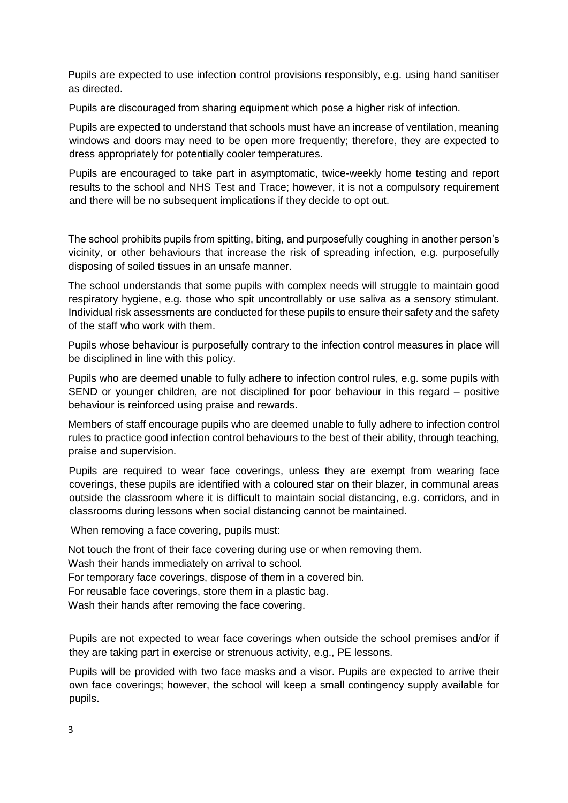Pupils are expected to use infection control provisions responsibly, e.g. using hand sanitiser as directed.

Pupils are discouraged from sharing equipment which pose a higher risk of infection.

Pupils are expected to understand that schools must have an increase of ventilation, meaning windows and doors may need to be open more frequently; therefore, they are expected to dress appropriately for potentially cooler temperatures.

Pupils are encouraged to take part in asymptomatic, twice-weekly home testing and report results to the school and NHS Test and Trace; however, it is not a compulsory requirement and there will be no subsequent implications if they decide to opt out.

The school prohibits pupils from spitting, biting, and purposefully coughing in another person's vicinity, or other behaviours that increase the risk of spreading infection, e.g. purposefully disposing of soiled tissues in an unsafe manner.

The school understands that some pupils with complex needs will struggle to maintain good respiratory hygiene, e.g. those who spit uncontrollably or use saliva as a sensory stimulant. Individual risk assessments are conducted for these pupils to ensure their safety and the safety of the staff who work with them.

Pupils whose behaviour is purposefully contrary to the infection control measures in place will be disciplined in line with this policy.

Pupils who are deemed unable to fully adhere to infection control rules, e.g. some pupils with SEND or younger children, are not disciplined for poor behaviour in this regard – positive behaviour is reinforced using praise and rewards.

Members of staff encourage pupils who are deemed unable to fully adhere to infection control rules to practice good infection control behaviours to the best of their ability, through teaching, praise and supervision.

Pupils are required to wear face coverings, unless they are exempt from wearing face coverings, these pupils are identified with a coloured star on their blazer, in communal areas outside the classroom where it is difficult to maintain social distancing, e.g. corridors, and in classrooms during lessons when social distancing cannot be maintained.

When removing a face covering, pupils must:

Not touch the front of their face covering during use or when removing them.

Wash their hands immediately on arrival to school.

For temporary face coverings, dispose of them in a covered bin.

For reusable face coverings, store them in a plastic bag.

Wash their hands after removing the face covering.

Pupils are not expected to wear face coverings when outside the school premises and/or if they are taking part in exercise or strenuous activity, e.g., PE lessons.

Pupils will be provided with two face masks and a visor. Pupils are expected to arrive their own face coverings; however, the school will keep a small contingency supply available for pupils.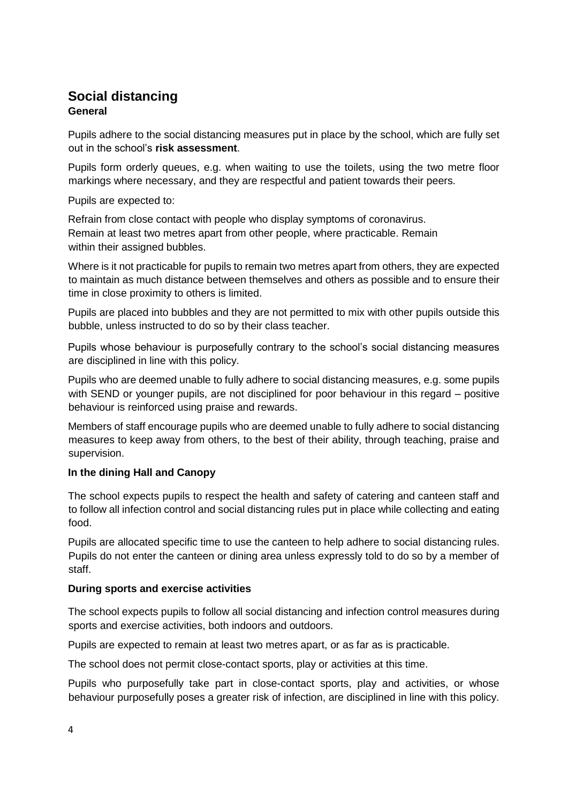# **Social distancing General**

Pupils adhere to the social distancing measures put in place by the school, which are fully set out in the school's **risk assessment**.

Pupils form orderly queues, e.g. when waiting to use the toilets, using the two metre floor markings where necessary, and they are respectful and patient towards their peers.

Pupils are expected to:

Refrain from close contact with people who display symptoms of coronavirus. Remain at least two metres apart from other people, where practicable. Remain within their assigned bubbles.

Where is it not practicable for pupils to remain two metres apart from others, they are expected to maintain as much distance between themselves and others as possible and to ensure their time in close proximity to others is limited.

Pupils are placed into bubbles and they are not permitted to mix with other pupils outside this bubble, unless instructed to do so by their class teacher.

Pupils whose behaviour is purposefully contrary to the school's social distancing measures are disciplined in line with this policy.

Pupils who are deemed unable to fully adhere to social distancing measures, e.g. some pupils with SEND or younger pupils, are not disciplined for poor behaviour in this regard – positive behaviour is reinforced using praise and rewards.

Members of staff encourage pupils who are deemed unable to fully adhere to social distancing measures to keep away from others, to the best of their ability, through teaching, praise and supervision.

#### **In the dining Hall and Canopy**

The school expects pupils to respect the health and safety of catering and canteen staff and to follow all infection control and social distancing rules put in place while collecting and eating food.

Pupils are allocated specific time to use the canteen to help adhere to social distancing rules. Pupils do not enter the canteen or dining area unless expressly told to do so by a member of staff.

#### **During sports and exercise activities**

The school expects pupils to follow all social distancing and infection control measures during sports and exercise activities, both indoors and outdoors.

Pupils are expected to remain at least two metres apart, or as far as is practicable.

The school does not permit close-contact sports, play or activities at this time.

Pupils who purposefully take part in close-contact sports, play and activities, or whose behaviour purposefully poses a greater risk of infection, are disciplined in line with this policy.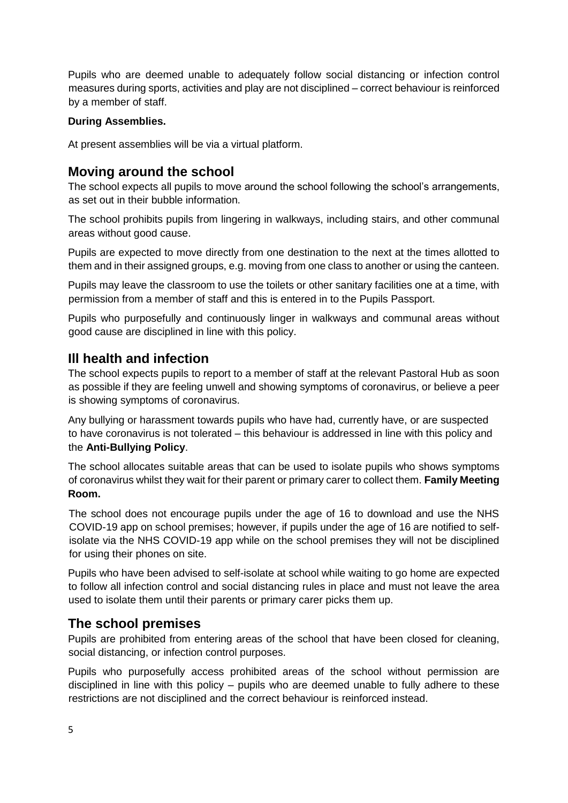Pupils who are deemed unable to adequately follow social distancing or infection control measures during sports, activities and play are not disciplined – correct behaviour is reinforced by a member of staff.

#### **During Assemblies.**

At present assemblies will be via a virtual platform.

# **Moving around the school**

The school expects all pupils to move around the school following the school's arrangements, as set out in their bubble information.

The school prohibits pupils from lingering in walkways, including stairs, and other communal areas without good cause.

Pupils are expected to move directly from one destination to the next at the times allotted to them and in their assigned groups, e.g. moving from one class to another or using the canteen.

Pupils may leave the classroom to use the toilets or other sanitary facilities one at a time, with permission from a member of staff and this is entered in to the Pupils Passport.

Pupils who purposefully and continuously linger in walkways and communal areas without good cause are disciplined in line with this policy.

# **Ill health and infection**

The school expects pupils to report to a member of staff at the relevant Pastoral Hub as soon as possible if they are feeling unwell and showing symptoms of coronavirus, or believe a peer is showing symptoms of coronavirus.

Any bullying or harassment towards pupils who have had, currently have, or are suspected to have coronavirus is not tolerated – this behaviour is addressed in line with this policy and the **Anti-Bullying Policy**.

The school allocates suitable areas that can be used to isolate pupils who shows symptoms of coronavirus whilst they wait for their parent or primary carer to collect them. **Family Meeting Room.** 

The school does not encourage pupils under the age of 16 to download and use the NHS COVID-19 app on school premises; however, if pupils under the age of 16 are notified to selfisolate via the NHS COVID-19 app while on the school premises they will not be disciplined for using their phones on site.

Pupils who have been advised to self-isolate at school while waiting to go home are expected to follow all infection control and social distancing rules in place and must not leave the area used to isolate them until their parents or primary carer picks them up.

# **The school premises**

Pupils are prohibited from entering areas of the school that have been closed for cleaning, social distancing, or infection control purposes.

Pupils who purposefully access prohibited areas of the school without permission are disciplined in line with this policy – pupils who are deemed unable to fully adhere to these restrictions are not disciplined and the correct behaviour is reinforced instead.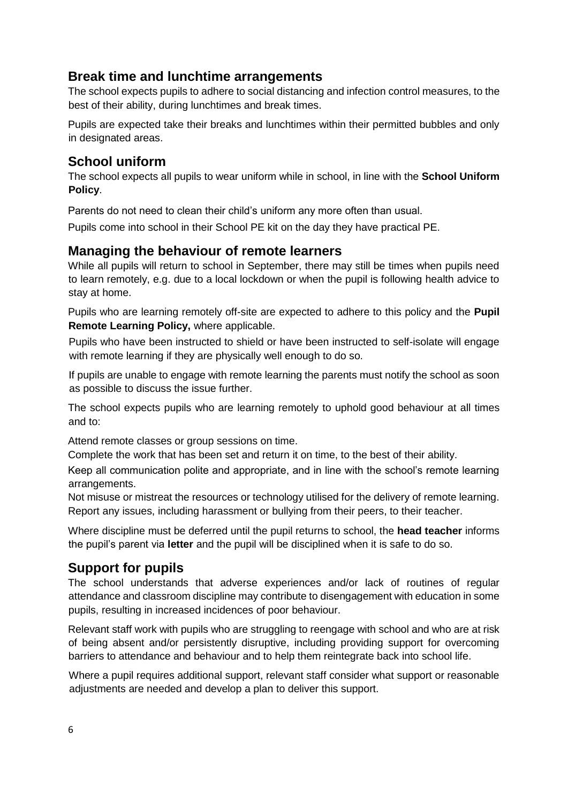# **Break time and lunchtime arrangements**

The school expects pupils to adhere to social distancing and infection control measures, to the best of their ability, during lunchtimes and break times.

Pupils are expected take their breaks and lunchtimes within their permitted bubbles and only in designated areas.

# **School uniform**

The school expects all pupils to wear uniform while in school, in line with the **School Uniform Policy**.

Parents do not need to clean their child's uniform any more often than usual.

Pupils come into school in their School PE kit on the day they have practical PE.

## **Managing the behaviour of remote learners**

While all pupils will return to school in September, there may still be times when pupils need to learn remotely, e.g. due to a local lockdown or when the pupil is following health advice to stay at home.

Pupils who are learning remotely off-site are expected to adhere to this policy and the **Pupil Remote Learning Policy,** where applicable.

Pupils who have been instructed to shield or have been instructed to self-isolate will engage with remote learning if they are physically well enough to do so.

If pupils are unable to engage with remote learning the parents must notify the school as soon as possible to discuss the issue further.

The school expects pupils who are learning remotely to uphold good behaviour at all times and to:

Attend remote classes or group sessions on time.

Complete the work that has been set and return it on time, to the best of their ability.

Keep all communication polite and appropriate, and in line with the school's remote learning arrangements.

Not misuse or mistreat the resources or technology utilised for the delivery of remote learning. Report any issues, including harassment or bullying from their peers, to their teacher.

Where discipline must be deferred until the pupil returns to school, the **head teacher** informs the pupil's parent via **letter** and the pupil will be disciplined when it is safe to do so.

# **Support for pupils**

The school understands that adverse experiences and/or lack of routines of regular attendance and classroom discipline may contribute to disengagement with education in some pupils, resulting in increased incidences of poor behaviour.

Relevant staff work with pupils who are struggling to reengage with school and who are at risk of being absent and/or persistently disruptive, including providing support for overcoming barriers to attendance and behaviour and to help them reintegrate back into school life.

Where a pupil requires additional support, relevant staff consider what support or reasonable adjustments are needed and develop a plan to deliver this support.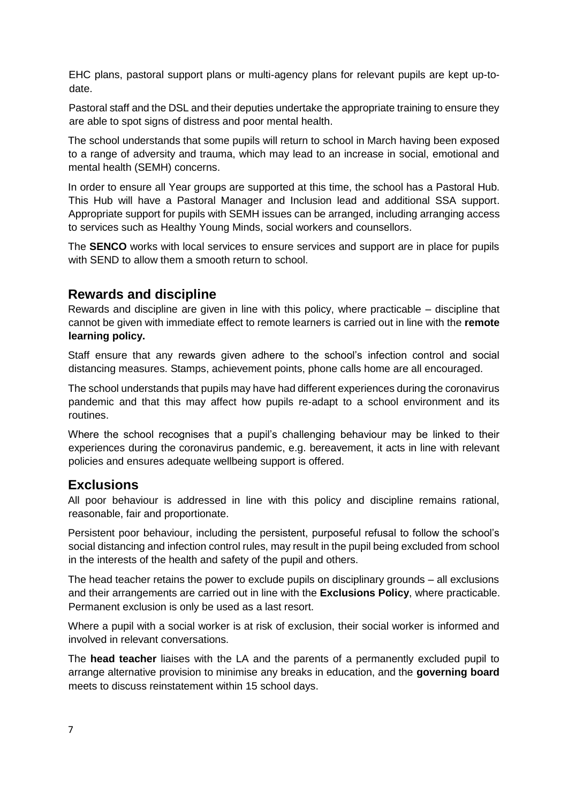EHC plans, pastoral support plans or multi-agency plans for relevant pupils are kept up-todate.

Pastoral staff and the DSL and their deputies undertake the appropriate training to ensure they are able to spot signs of distress and poor mental health.

The school understands that some pupils will return to school in March having been exposed to a range of adversity and trauma, which may lead to an increase in social, emotional and mental health (SEMH) concerns.

In order to ensure all Year groups are supported at this time, the school has a Pastoral Hub. This Hub will have a Pastoral Manager and Inclusion lead and additional SSA support. Appropriate support for pupils with SEMH issues can be arranged, including arranging access to services such as Healthy Young Minds, social workers and counsellors.

The **SENCO** works with local services to ensure services and support are in place for pupils with SEND to allow them a smooth return to school.

## **Rewards and discipline**

Rewards and discipline are given in line with this policy, where practicable – discipline that cannot be given with immediate effect to remote learners is carried out in line with the **remote learning policy.** 

Staff ensure that any rewards given adhere to the school's infection control and social distancing measures. Stamps, achievement points, phone calls home are all encouraged.

The school understands that pupils may have had different experiences during the coronavirus pandemic and that this may affect how pupils re-adapt to a school environment and its routines.

Where the school recognises that a pupil's challenging behaviour may be linked to their experiences during the coronavirus pandemic, e.g. bereavement, it acts in line with relevant policies and ensures adequate wellbeing support is offered.

#### **Exclusions**

All poor behaviour is addressed in line with this policy and discipline remains rational, reasonable, fair and proportionate.

Persistent poor behaviour, including the persistent, purposeful refusal to follow the school's social distancing and infection control rules, may result in the pupil being excluded from school in the interests of the health and safety of the pupil and others.

The head teacher retains the power to exclude pupils on disciplinary grounds – all exclusions and their arrangements are carried out in line with the **Exclusions Policy**, where practicable. Permanent exclusion is only be used as a last resort.

Where a pupil with a social worker is at risk of exclusion, their social worker is informed and involved in relevant conversations.

The **head teacher** liaises with the LA and the parents of a permanently excluded pupil to arrange alternative provision to minimise any breaks in education, and the **governing board** meets to discuss reinstatement within 15 school days.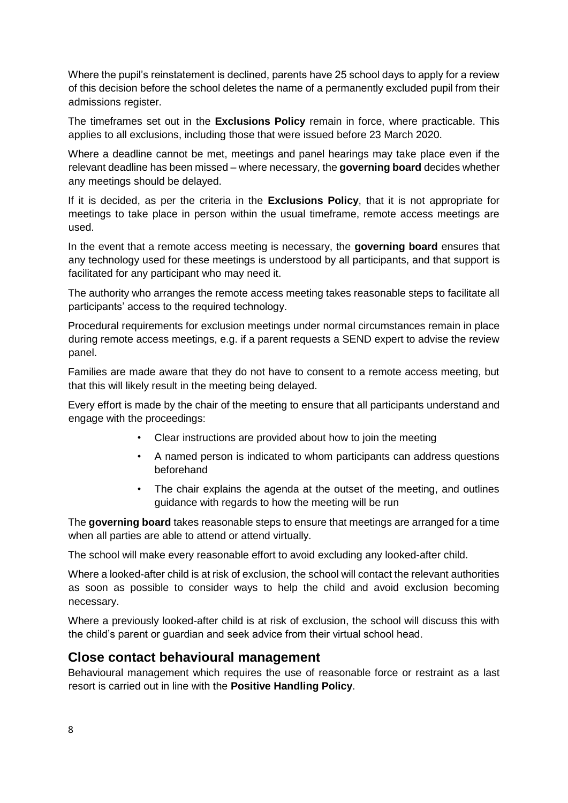Where the pupil's reinstatement is declined, parents have 25 school days to apply for a review of this decision before the school deletes the name of a permanently excluded pupil from their admissions register.

The timeframes set out in the **Exclusions Policy** remain in force, where practicable. This applies to all exclusions, including those that were issued before 23 March 2020.

Where a deadline cannot be met, meetings and panel hearings may take place even if the relevant deadline has been missed – where necessary, the **governing board** decides whether any meetings should be delayed.

If it is decided, as per the criteria in the **Exclusions Policy**, that it is not appropriate for meetings to take place in person within the usual timeframe, remote access meetings are used.

In the event that a remote access meeting is necessary, the **governing board** ensures that any technology used for these meetings is understood by all participants, and that support is facilitated for any participant who may need it.

The authority who arranges the remote access meeting takes reasonable steps to facilitate all participants' access to the required technology.

Procedural requirements for exclusion meetings under normal circumstances remain in place during remote access meetings, e.g. if a parent requests a SEND expert to advise the review panel.

Families are made aware that they do not have to consent to a remote access meeting, but that this will likely result in the meeting being delayed.

Every effort is made by the chair of the meeting to ensure that all participants understand and engage with the proceedings:

- Clear instructions are provided about how to join the meeting
- A named person is indicated to whom participants can address questions beforehand
- The chair explains the agenda at the outset of the meeting, and outlines guidance with regards to how the meeting will be run

The **governing board** takes reasonable steps to ensure that meetings are arranged for a time when all parties are able to attend or attend virtually.

The school will make every reasonable effort to avoid excluding any looked-after child.

Where a looked-after child is at risk of exclusion, the school will contact the relevant authorities as soon as possible to consider ways to help the child and avoid exclusion becoming necessary.

Where a previously looked-after child is at risk of exclusion, the school will discuss this with the child's parent or guardian and seek advice from their virtual school head.

#### **Close contact behavioural management**

Behavioural management which requires the use of reasonable force or restraint as a last resort is carried out in line with the **Positive Handling Policy**.